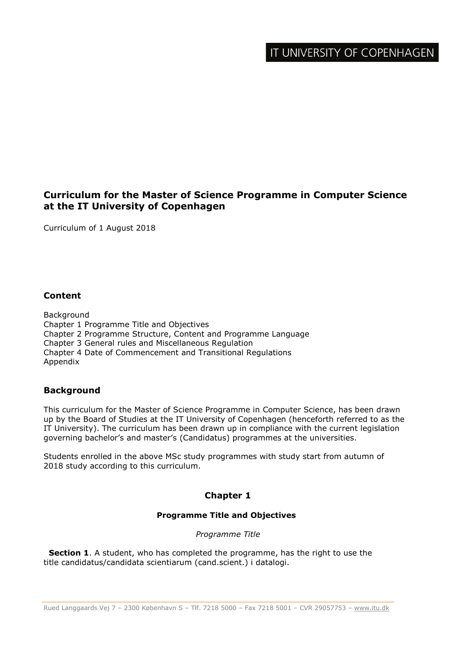# **Curriculum for the Master of Science Programme in Computer Science at the IT University of Copenhagen**

Curriculum of 1 August 2018

## **Content**

Background Chapter 1 Programme Title and Objectives Chapter 2 Programme Structure, Content and Programme Language Chapter 3 General rules and Miscellaneous Regulation Chapter 4 Date of Commencement and Transitional Regulations Appendix

## **Background**

This curriculum for the Master of Science Programme in Computer Science, has been drawn up by the Board of Studies at the IT University of Copenhagen (henceforth referred to as the IT University). The curriculum has been drawn up in compliance with the current legislation governing bachelor's and master's (Candidatus) programmes at the universities.

Students enrolled in the above MSc study programmes with study start from autumn of 2018 study according to this curriculum.

## **Chapter 1**

#### **Programme Title and Objectives**

*Programme Title*

 **Section 1**. A student, who has completed the programme, has the right to use the title candidatus/candidata scientiarum (cand.scient.) i datalogi.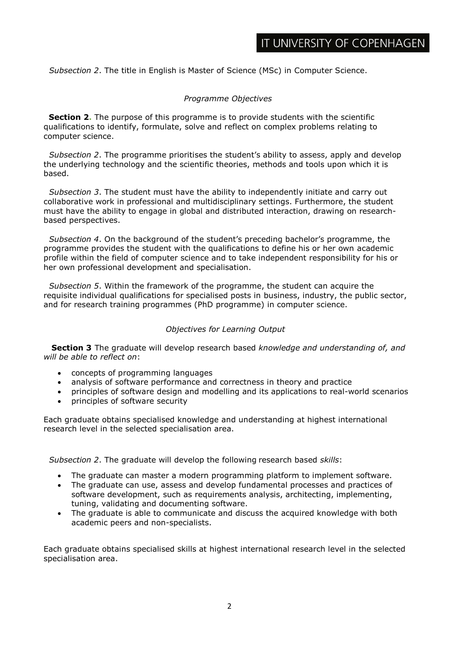*Subsection 2*. The title in English is Master of Science (MSc) in Computer Science.

#### *Programme Objectives*

**Section 2.** The purpose of this programme is to provide students with the scientific qualifications to identify, formulate, solve and reflect on complex problems relating to computer science.

 *Subsection 2*. The programme prioritises the student's ability to assess, apply and develop the underlying technology and the scientific theories, methods and tools upon which it is based.

 *Subsection 3*. The student must have the ability to independently initiate and carry out collaborative work in professional and multidisciplinary settings. Furthermore, the student must have the ability to engage in global and distributed interaction, drawing on researchbased perspectives.

 *Subsection 4*. On the background of the student's preceding bachelor's programme, the programme provides the student with the qualifications to define his or her own academic profile within the field of computer science and to take independent responsibility for his or her own professional development and specialisation.

 *Subsection 5*. Within the framework of the programme, the student can acquire the requisite individual qualifications for specialised posts in business, industry, the public sector, and for research training programmes (PhD programme) in computer science.

### *Objectives for Learning Output*

 **Section 3** The graduate will develop research based *knowledge and understanding of, and will be able to reflect on*:

- concepts of programming languages
- analysis of software performance and correctness in theory and practice
- principles of software design and modelling and its applications to real-world scenarios
- principles of software security

Each graduate obtains specialised knowledge and understanding at highest international research level in the selected specialisation area.

 *Subsection 2*. The graduate will develop the following research based *skills*:

- The graduate can master a modern programming platform to implement software.
- The graduate can use, assess and develop fundamental processes and practices of software development, such as requirements analysis, architecting, implementing, tuning, validating and documenting software.
- The graduate is able to communicate and discuss the acquired knowledge with both academic peers and non-specialists.

Each graduate obtains specialised skills at highest international research level in the selected specialisation area.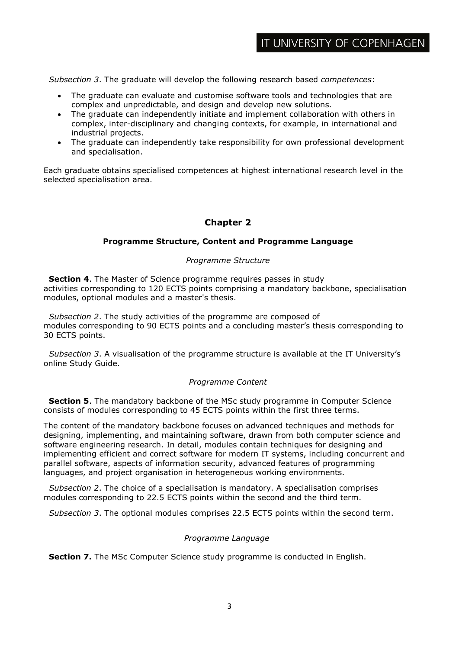*Subsection 3*. The graduate will develop the following research based *competences*:

- The graduate can evaluate and customise software tools and technologies that are complex and unpredictable, and design and develop new solutions.
- The graduate can independently initiate and implement collaboration with others in complex, inter-disciplinary and changing contexts, for example, in international and industrial projects.
- The graduate can independently take responsibility for own professional development and specialisation.

Each graduate obtains specialised competences at highest international research level in the selected specialisation area.

# **Chapter 2**

### **Programme Structure, Content and Programme Language**

#### *Programme Structure*

 **Section 4**. The Master of Science programme requires passes in study activities corresponding to 120 ECTS points comprising a mandatory backbone, specialisation modules, optional modules and a master's thesis.

 *Subsection 2*. The study activities of the programme are composed of modules corresponding to 90 ECTS points and a concluding master's thesis corresponding to 30 ECTS points.

 *Subsection 3*. A visualisation of the programme structure is available at the IT University's online Study Guide.

#### *Programme Content*

**Section 5**. The mandatory backbone of the MSc study programme in Computer Science consists of modules corresponding to 45 ECTS points within the first three terms.

The content of the mandatory backbone focuses on advanced techniques and methods for designing, implementing, and maintaining software, drawn from both computer science and software engineering research. In detail, modules contain techniques for designing and implementing efficient and correct software for modern IT systems, including concurrent and parallel software, aspects of information security, advanced features of programming languages, and project organisation in heterogeneous working environments.

 *Subsection 2*. The choice of a specialisation is mandatory. A specialisation comprises modules corresponding to 22.5 ECTS points within the second and the third term.

*Subsection 3*. The optional modules comprises 22.5 ECTS points within the second term.

#### *Programme Language*

**Section 7.** The MSc Computer Science study programme is conducted in English.